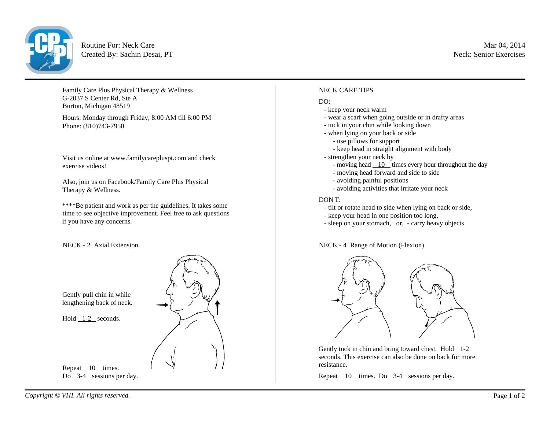

Routine For: Neck Care Created By: Sachin Desai, PT

Family Care Plus Physical Therapy & Wellness G-2037 S Center Rd, Ste A Burton, Michigan 48519

Hours: Monday through Friday, 8:00 AM till 6:00 PM Phone: (810)743-7950

Visit us online at www.familycarepluspt.com and check exercise videos!

Also, join us on Facebook/Family Care Plus Physical Therapy & Wellness.

\*\*\*\*Be patient and work as per the guidelines. It takes some time to see objective improvement. Feel free to ask questions if you have any concerns.

NECK - 2 Axial Extension



## NECK CARE TIPS

## DO:

- keep your neck warm
- wear a scarf when going outside or in drafty areas
- tuck in your chin while looking down
- when lying on your back or side
- use pillows for support
- keep head in straight alignment with body
- strengthen your neck by
	- moving head  $\overline{10}$  times every hour throughout the day
	- moving head forward and side to side
	- avoiding painful positions
	- avoiding activities that irritate your neck

## DON'T:

- tilt or rotate head to side when lying on back or side,
- keep your head in one position too long,
- sleep on your stomach, or, carry heavy objects





Gently tuck in chin and bring toward chest. Hold  $\overline{1-2}$ seconds. This exercise can also be done on back for more resistance.

Repeat 10 times. Do 3-4 sessions per day.